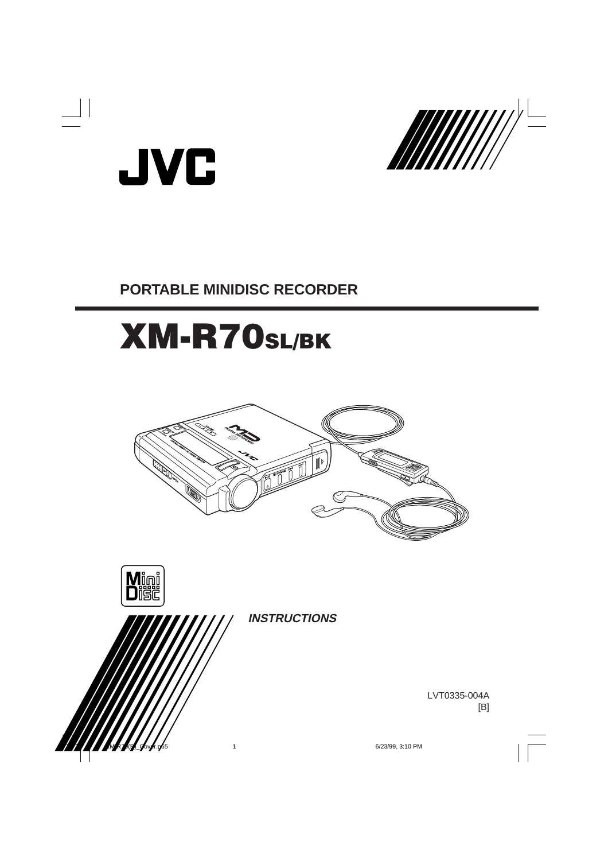



# **PORTABLE MINIDISC RECORDER**

# XM-R70SL/BK





**INSTRUCTIONS**

LVT0335-004A [B]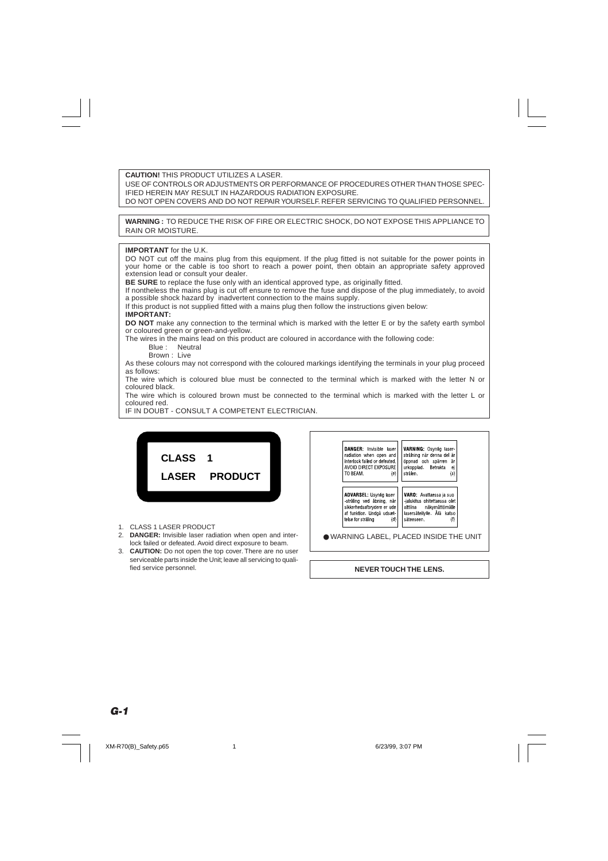**CAUTION!** THIS PRODUCT UTILIZES A LASER. USE OF CONTROLS OR ADJUSTMENTS OR PERFORMANCE OF PROCEDURES OTHER THAN THOSE SPEC-IFIED HEREIN MAY RESULT IN HAZARDOUS RADIATION EXPOSURE. DO NOT OPEN COVERS AND DO NOT REPAIR YOURSELF. REFER SERVICING TO QUALIFIED PERSONNEL.

**WARNING :** TO REDUCE THE RISK OF FIRE OR ELECTRIC SHOCK, DO NOT EXPOSE THIS APPLIANCE TO RAIN OR MOISTURE.

#### **IMPORTANT** for the U.K.

DO NOT cut off the mains plug from this equipment. If the plug fitted is not suitable for the power points in your home or the cable is too short to reach a power point, then obtain an appropriate safety approved extension lead or consult your dealer.

**BE SURE** to replace the fuse only with an identical approved type, as originally fitted.

If nontheless the mains plug is cut off ensure to remove the fuse and dispose of the plug immediately, to avoid a possible shock hazard by inadvertent connection to the mains supply.

If this product is not supplied fitted with a mains plug then follow the instructions given below:

### **IMPORTANT:**

**DO NOT** make any connection to the terminal which is marked with the letter E or by the safety earth symbol or coloured green or green-and-yellow.

The wires in the mains lead on this product are coloured in accordance with the following code:

Blue : Neutral

Brown : Live

As these colours may not correspond with the coloured markings identifying the terminals in your plug proceed as follows:

The wire which is coloured blue must be connected to the terminal which is marked with the letter N or coloured black.

The wire which is coloured brown must be connected to the terminal which is marked with the letter L or coloured red.

IF IN DOUBT - CONSULT A COMPETENT ELECTRICIAN.



- 1. CLASS 1 LASER PRODUCT
- 2. **DANGER:** Invisible laser radiation when open and interlock failed or defeated. Avoid direct exposure to beam.
- 3. **CAUTION:** Do not open the top cover. There are no user serviceable parts inside the Unit; leave all servicing to qualified service personnel.

| <b>DANGER:</b> Invisible laser<br>radiation when open and<br>interlock failed or defeated.<br>AVOID DIRECT EXPOSURE<br>TO BEAM.<br>(e)           | <b>VARNING: Osvnlig laser</b><br>strålning när denna del är<br>är<br>öppnad och spärren<br>ej<br>urkopplad. Betrakta<br>strålen.<br>(s)        |  |
|--------------------------------------------------------------------------------------------------------------------------------------------------|------------------------------------------------------------------------------------------------------------------------------------------------|--|
| <b>ADVARSEL: Usynig laser</b><br>stråling ved åbning, når<br>sikkerhedsafbrydere er ude<br>af funktion. Undgå udsæt<br>telse for stråling<br>(d) | <b>VARO:</b> Avattaessa ja suo<br>jalukitus ohitettaessa olet<br>alttiina<br>näkymättömälle<br>lasersäteilylle. Älä katso<br>säteeseen.<br>(f) |  |
|                                                                                                                                                  | <b>. WARNING LABEL, PLACED INSIDE THE UNIT</b>                                                                                                 |  |

#### **NEVER TOUCH THE LENS.**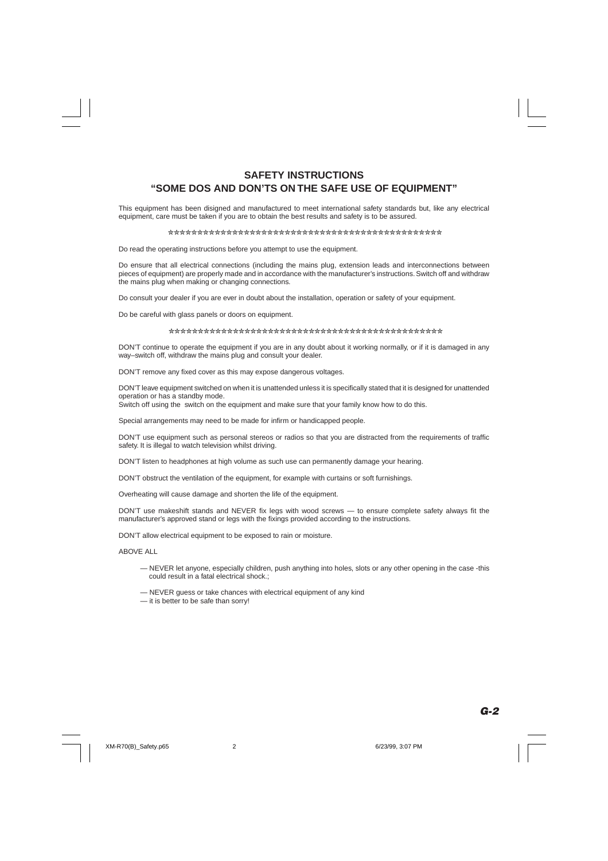# **SAFETY INSTRUCTIONS "SOME DOS AND DON'TS ON THE SAFE USE OF EQUIPMENT"**

This equipment has been disigned and manufactured to meet international safety standards but, like any electrical equipment, care must be taken if you are to obtain the best results and safety is to be assured.

#### ✮✮✮✮✮✮✮✮✮✮✮✮✮✮✮✮✮✮✮✮✮✮✮✮✮✮✮✮✮✮✮✮✮✮✮✮✮✮✮✮✮✮✮✮✮✮✮

Do read the operating instructions before you attempt to use the equipment.

Do ensure that all electrical connections (including the mains plug, extension leads and interconnections between pieces of equipment) are properly made and in accordance with the manufacturer's instructions. Switch off and withdraw the mains plug when making or changing connections.

Do consult your dealer if you are ever in doubt about the installation, operation or safety of your equipment.

Do be careful with glass panels or doors on equipment.

#### ✮✮✮✮✮✮✮✮✮✮✮✮✮✮✮✮✮✮✮✮✮✮✮✮✮✮✮✮✮✮✮✮✮✮✮✮✮✮✮✮✮✮✮✮✮✮✮

DON'T continue to operate the equipment if you are in any doubt about it working normally, or if it is damaged in any way–switch off, withdraw the mains plug and consult your dealer.

DON'T remove any fixed cover as this may expose dangerous voltages.

DON'T leave equipment switched on when it is unattended unless it is specifically stated that it is designed for unattended operation or has a standby mode.

Switch off using the switch on the equipment and make sure that your family know how to do this.

Special arrangements may need to be made for infirm or handicapped people.

DON'T use equipment such as personal stereos or radios so that you are distracted from the requirements of traffic safety. It is illegal to watch television whilst driving.

DON'T listen to headphones at high volume as such use can permanently damage your hearing.

DON'T obstruct the ventilation of the equipment, for example with curtains or soft furnishings.

Overheating will cause damage and shorten the life of the equipment.

DON'T use makeshift stands and NEVER fix legs with wood screws — to ensure complete safety always fit the manufacturer's approved stand or legs with the fixings provided according to the instructions.

DON'T allow electrical equipment to be exposed to rain or moisture.

ABOVE ALL

- NEVER let anyone, especially children, push anything into holes, slots or any other opening in the case -this could result in a fatal electrical shock.;
- NEVER guess or take chances with electrical equipment of any kind
- it is better to be safe than sorry!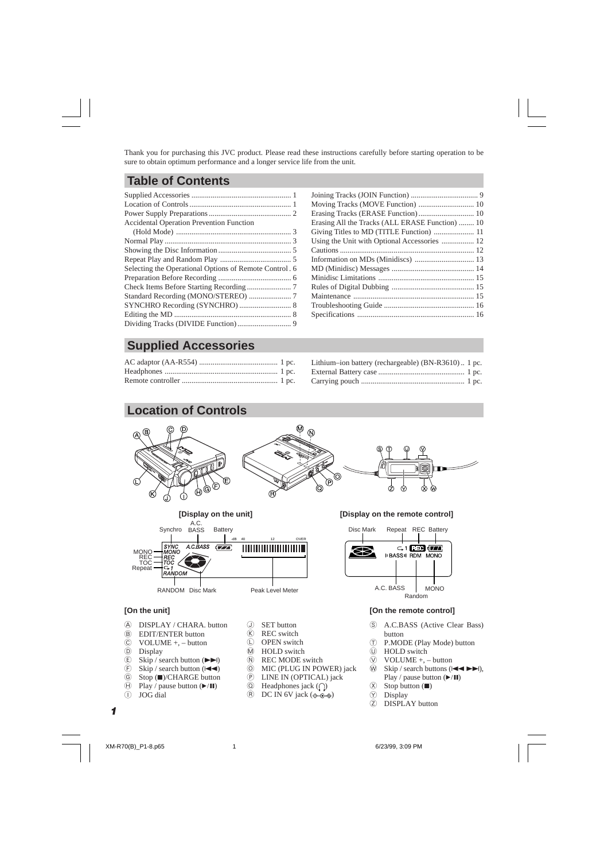Thank you for purchasing this JVC product. Please read these instructions carefully before starting operation to be sure to obtain optimum performance and a longer service life from the unit.

# **Table of Contents**

| <b>Accidental Operation Prevention Function</b>        |  |
|--------------------------------------------------------|--|
|                                                        |  |
|                                                        |  |
|                                                        |  |
|                                                        |  |
| Selecting the Operational Options of Remote Control. 6 |  |
|                                                        |  |
|                                                        |  |
|                                                        |  |
|                                                        |  |
|                                                        |  |
|                                                        |  |
|                                                        |  |

| Moving Tracks (MOVE Function)  10               |  |
|-------------------------------------------------|--|
| Erasing Tracks (ERASE Function) 10              |  |
| Erasing All the Tracks (ALL ERASE Function)  10 |  |
|                                                 |  |
| Using the Unit with Optional Accessories  12    |  |
|                                                 |  |
|                                                 |  |
|                                                 |  |
|                                                 |  |
|                                                 |  |
|                                                 |  |
|                                                 |  |
|                                                 |  |
|                                                 |  |

# **Supplied Accessories**

| Lithium-ion battery (rechargeable) (BN-R3610) 1 pc. |  |
|-----------------------------------------------------|--|
|                                                     |  |
|                                                     |  |

# **Location of Controls**



- B EDIT/ENTER button
- C VOLUME +, button
- D Display
- $\circled{E}$  Skip / search button ( $\blacktriangleright$ )<br>  $\circled{F}$  Skip / search button ( $\blacktriangleright$
- Skip / search button  $($
- G Stop (7)/CHARGE button
- $\textcircled{H}$  Play / pause button  $(\blacktriangleright/\text{II})$
- $\cap$  JOG dial
- $(K)$  REC switch
- $\cap$  OPEN switch
- M HOLD switch
- N REC MODE switch
- 
- **O** MIC (PLUG IN POWER) jack<br>
(P) LINE IN (OPTICAL) jack LINE IN (OPTICAL) jack
- $\circled{a}$  Headphones jack  $\circled{r}$
- $\overline{R}$  DC IN 6V jack ( $\Leftrightarrow \overline{C}\$

*1*

- button
- T P.MODE (Play Mode) button
- U HOLD switch
- $\overline{W}$  VOLUME +, button
- $\widehat{w}$  Skip / search buttons ( $\blacktriangleleft \blacktriangleleft \blacktriangleright \blacktriangleright$ ), Play / pause button  $(\blacktriangleright/\mathbf{II})$
- $\overline{\textcircled{x}}$  Stop button ( $\blacksquare$ )<br>  $\overline{\textcircled{y}}$  Display
- Display
- Z DISPLAY button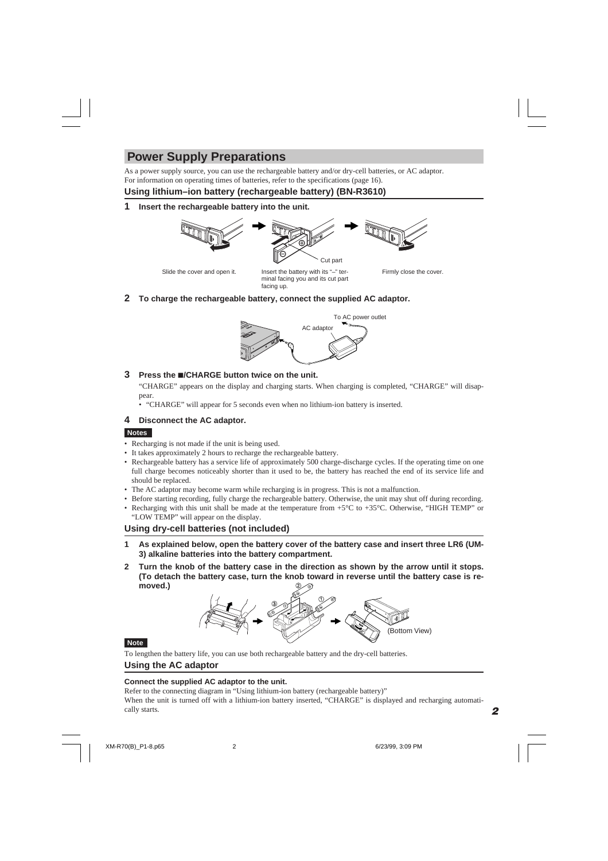# **Power Supply Preparations**

As a power supply source, you can use the rechargeable battery and/or dry-cell batteries, or AC adaptor. For information on operating times of batteries, refer to the specifications (page 16).

# **Using lithium–ion battery (rechargeable battery) (BN-R3610)**

**1 Insert the rechargeable battery into the unit.**



Slide the cover and open it.

Insert the battery with its "-" ter-<br>
Firmly close the cover. minal facing you and its cut part facing up.

**2 To charge the rechargeable battery, connect the supplied AC adaptor.**



### **3 Press the** 7**/CHARGE button twice on the unit.**

"CHARGE" appears on the display and charging starts. When charging is completed, "CHARGE" will disappear.

• "CHARGE" will appear for 5 seconds even when no lithium-ion battery is inserted.

# **4 Disconnect the AC adaptor.**

### **Notes**

- Recharging is not made if the unit is being used.
- It takes approximately 2 hours to recharge the rechargeable battery.
- Rechargeable battery has a service life of approximately 500 charge-discharge cycles. If the operating time on one full charge becomes noticeably shorter than it used to be, the battery has reached the end of its service life and should be replaced.
- The AC adaptor may become warm while recharging is in progress. This is not a malfunction.
- Before starting recording, fully charge the rechargeable battery. Otherwise, the unit may shut off during recording.
- Recharging with this unit shall be made at the temperature from +5°C to +35°C. Otherwise, "HIGH TEMP" or "LOW TEMP" will appear on the display.

# **Using dry-cell batteries (not included)**

- **1 As explained below, open the battery cover of the battery case and insert three LR6 (UM-3) alkaline batteries into the battery compartment.**
- **2 Turn the knob of the battery case in the direction as shown by the arrow until it stops. (To detach the battery case, turn the knob toward in reverse until the battery case is removed.)**



### **Note**

To lengthen the battery life, you can use both rechargeable battery and the dry-cell batteries.

### **Using the AC adaptor**

### **Connect the supplied AC adaptor to the unit.**

Refer to the connecting diagram in "Using lithium-ion battery (rechargeable battery)"

When the unit is turned off with a lithium-ion battery inserted, "CHARGE" is displayed and recharging automatically starts.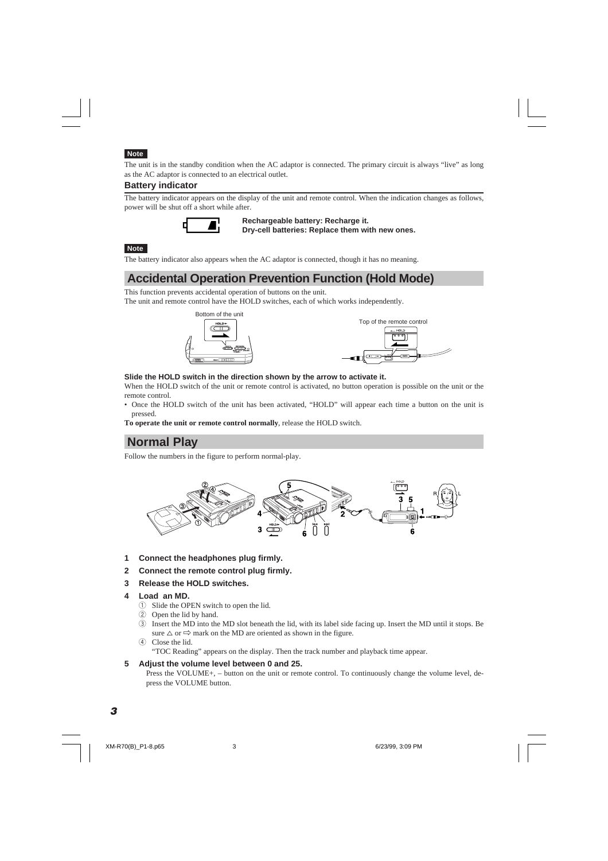### **Note**

The unit is in the standby condition when the AC adaptor is connected. The primary circuit is always "live" as long as the AC adaptor is connected to an electrical outlet.

### **Battery indicator**

The battery indicator appears on the display of the unit and remote control. When the indication changes as follows, power will be shut off a short while after.



**Rechargeable battery: Recharge it. Dry-cell batteries: Replace them with new ones.**

#### **Note**

The battery indicator also appears when the AC adaptor is connected, though it has no meaning.

# **Accidental Operation Prevention Function (Hold Mode)**

This function prevents accidental operation of buttons on the unit.

The unit and remote control have the HOLD switches, each of which works independently.



#### **Slide the HOLD switch in the direction shown by the arrow to activate it.**

When the HOLD switch of the unit or remote control is activated, no button operation is possible on the unit or the remote control.

• Once the HOLD switch of the unit has been activated, "HOLD" will appear each time a button on the unit is pressed.

**To operate the unit or remote control normally**, release the HOLD switch.

# **Normal Play**

Follow the numbers in the figure to perform normal-play.



- **1 Connect the headphones plug firmly.**
- **2 Connect the remote control plug firmly.**
- **3 Release the HOLD switches.**
- **4 Load an MD.**
	- 1 Slide the OPEN switch to open the lid.
	- 2 Open the lid by hand.
	- 3 Insert the MD into the MD slot beneath the lid, with its label side facing up. Insert the MD until it stops. Be sure  $\triangle$  or  $\Rightarrow$  mark on the MD are oriented as shown in the figure.
	- (4) Close the lid.

"TOC Reading" appears on the display. Then the track number and playback time appear.

**5 Adjust the volume level between 0 and 25.**

Press the VOLUME+, – button on the unit or remote control. To continuously change the volume level, depress the VOLUME button.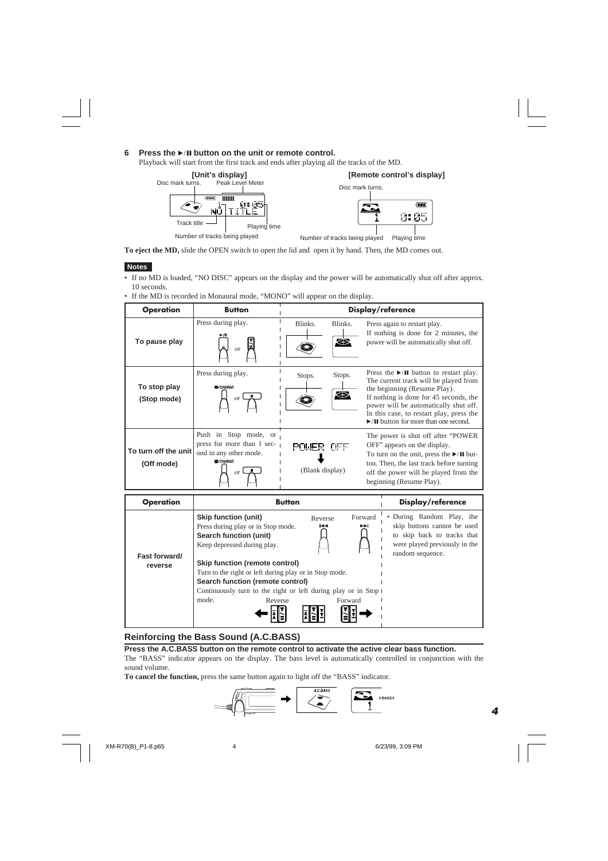### **6 Press the** 6 **button on the unit or remote control.**

Playback will start from the first track and ends after playing all the tracks of the MD.



**To eject the MD,** slide the OPEN switch to open the lid and open it by hand. Then, the MD comes out.

### **Notes**

- If no MD is loaded, "NO DISC" appears on the display and the power will be automatically shut off after approx. 10 seconds.
- If the MD is recorded in Monaural mode, "MONO" will appear on the display.

| <b>Operation</b>                   | <b>Button</b>                                                                                                   | Display/reference                                                                        |                |                                                                                                                                                                                                                                                                                                                                   |  |  |
|------------------------------------|-----------------------------------------------------------------------------------------------------------------|------------------------------------------------------------------------------------------|----------------|-----------------------------------------------------------------------------------------------------------------------------------------------------------------------------------------------------------------------------------------------------------------------------------------------------------------------------------|--|--|
| To pause play                      | Press during play.<br>or                                                                                        | Blinks.                                                                                  | Blinks.<br>83. | Press again to restart play.<br>If nothing is done for 2 minutes, the<br>power will be automatically shut off.                                                                                                                                                                                                                    |  |  |
| To stop play<br>(Stop mode)        | Press during play.<br><b>VCHARGE</b><br>or                                                                      | Stops.                                                                                   | Stops.<br>Ø    | Press the $\blacktriangleright$ /II button to restart play.<br>The current track will be played from<br>the beginning (Resume Play).<br>If nothing is done for 45 seconds, the<br>power will be automatically shut off.<br>In this case, to restart play, press the<br>$\blacktriangleright$ /II button for more than one second. |  |  |
| To turn off the unit<br>(Off mode) | Push in Stop mode, or<br>press for more than $1 \text{ sec-}$<br>ond in any other mode.<br><b>VCHARGE</b><br>or | OFF" appears on the display.<br>POWER OFF<br>(Blank display)<br>beginning (Resume Play). |                | The power is shut off after "POWER"<br>To turn on the unit, press the $\blacktriangleright$ /II but-<br>ton. Then, the last track before turning<br>off the power will be played from the                                                                                                                                         |  |  |
| <b>Operation</b>                   |                                                                                                                 | <b>Button</b>                                                                            |                | Display/reference                                                                                                                                                                                                                                                                                                                 |  |  |
|                                    | Skip function (unit)<br>Press during play or in Stop mode.<br>Search function (unit)                            | Reverse<br>н∢                                                                            |                | • During Random Play, the<br>Forward<br>skip buttons cannot be used<br>►►∣<br>to skip back to tracks that                                                                                                                                                                                                                         |  |  |

|               | Press during play or in Stop mode.<br>Search function (unit)    | 144     | ►⊧ | skip buttons cannot be used<br>to skip back to tracks that |
|---------------|-----------------------------------------------------------------|---------|----|------------------------------------------------------------|
|               | Keep depressed during play.                                     | 5. 4    |    | were played previously in the                              |
| Fast forward/ | Skip function (remote control)                                  |         |    | random sequence.                                           |
| reverse       | Turn to the right or left during play or in Stop mode.          |         |    |                                                            |
|               | Search function (remote control)                                |         |    |                                                            |
|               | Continuously turn to the right or left during play or in Stop I |         |    |                                                            |
|               | mode.<br>Reverse                                                | Forward |    |                                                            |
|               |                                                                 |         |    |                                                            |
|               |                                                                 |         |    |                                                            |

# **Reinforcing the Bass Sound (A.C.BASS)**

**Press the A.C.BASS button on the remote control to activate the active clear bass function.**

The "BASS" indicator appears on the display. The bass level is automatically controlled in conjunction with the sound volume.

**To cancel the function,** press the same button again to light off the "BASS" indicator.





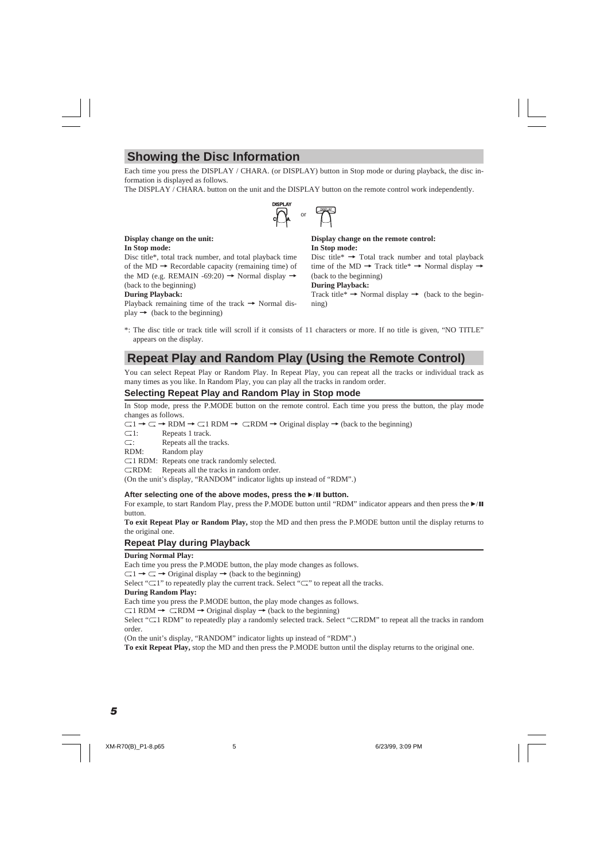# **Showing the Disc Information**

Each time you press the DISPLAY / CHARA. (or DISPLAY) button in Stop mode or during playback, the disc information is displayed as follows.

The DISPLAY / CHARA. button on the unit and the DISPLAY button on the remote control work independently.



#### **Display change on the unit: In Stop mode:**

Disc title\*, total track number, and total playback time of the  $MD \rightarrow$  Recordable capacity (remaining time) of the MD (e.g. REMAIN -69:20)  $\rightarrow$  Normal display  $\rightarrow$ (back to the beginning)

#### **During Playback:**

Playback remaining time of the track  $\rightarrow$  Normal display  $\rightarrow$  (back to the beginning)

#### **Display change on the remote control: In Stop mode:**

Disc title\*  $\rightarrow$  Total track number and total playback time of the MD  $\rightarrow$  Track title\*  $\rightarrow$  Normal display  $\rightarrow$ (back to the beginning)

### **During Playback:**

Track title\*  $\rightarrow$  Normal display  $\rightarrow$  (back to the beginning)

\*: The disc title or track title will scroll if it consists of 11 characters or more. If no title is given, "NO TITLE" appears on the display.

# **Repeat Play and Random Play (Using the Remote Control)**

You can select Repeat Play or Random Play. In Repeat Play, you can repeat all the tracks or individual track as many times as you like. In Random Play, you can play all the tracks in random order.

# **Selecting Repeat Play and Random Play in Stop mode**

In Stop mode, press the P.MODE button on the remote control. Each time you press the button, the play mode changes as follows.

 $\Box$ 1  $\rightarrow \Box \rightarrow$  RDM  $\rightarrow \Box$ RDM  $\rightarrow \Box$ RDM  $\rightarrow$  Original display  $\rightarrow$  (back to the beginning)

 $\Box$  Repeats 1 track.

 $\Box$ : Repeats all the tracks.

RDM: Random play

 $\Box$ 1 RDM: Repeats one track randomly selected.

 $CRDM:$  Repeats all the tracks in random order.

(On the unit's display, "RANDOM" indicator lights up instead of "RDM".)

#### After selecting one of the above modes, press the  $\blacktriangleright$  **II** button.

For example, to start Random Play, press the P.MODE button until "RDM" indicator appears and then press the  $\blacktriangleright/\blacksquare$ button.

**To exit Repeat Play or Random Play,** stop the MD and then press the P.MODE button until the display returns to the original one.

# **Repeat Play during Playback**

#### **During Normal Play:**

Each time you press the P.MODE button, the play mode changes as follows.

 $\Box$   $\rightarrow \Box \rightarrow$  Original display  $\rightarrow$  (back to the beginning)

Select " $\Box$ 1" to repeatedly play the current track. Select " $\Box$ " to repeat all the tracks.

#### **During Random Play:**

Each time you press the P.MODE button, the play mode changes as follows.

 $\Box$  RDM  $\rightarrow$   $\Box$ RDM  $\rightarrow$  Original display  $\rightarrow$  (back to the beginning)

Select " $\Box$ 1 RDM" to repeatedly play a randomly selected track. Select " $\Box$ RDM" to repeat all the tracks in random order.

(On the unit's display, "RANDOM" indicator lights up instead of "RDM".)

**To exit Repeat Play,** stop the MD and then press the P.MODE button until the display returns to the original one.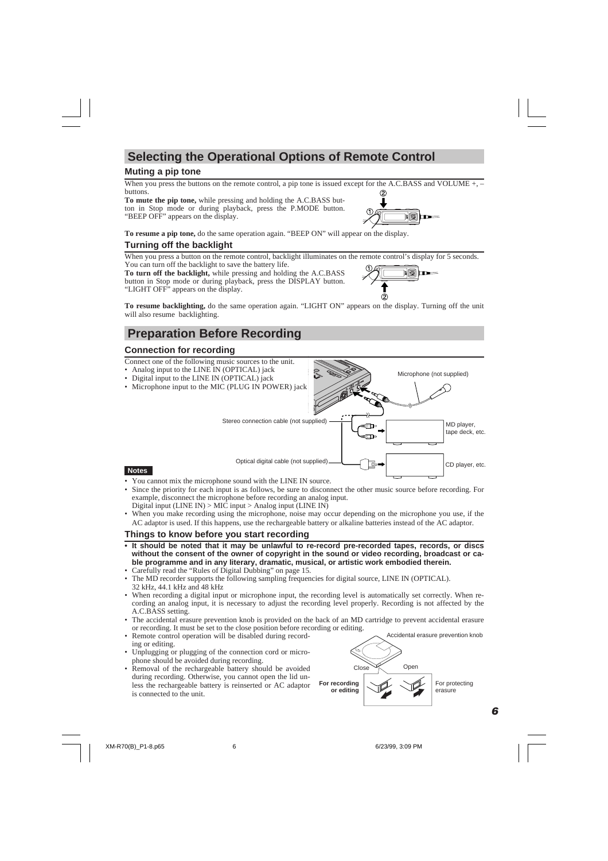# **Selecting the Operational Options of Remote Control**

# **Muting a pip tone**

When you press the buttons on the remote control, a pip tone is issued except for the A.C.BASS and VOLUME +, buttons. 0

**To mute the pip tone,** while pressing and holding the A.C.BASS button in Stop mode or during playback, press the P.MODE button. "BEEP OFF" appears on the display.



**To resume a pip tone,** do the same operation again. "BEEP ON" will appear on the display.

# **Turning off the backlight**

When you press a button on the remote control, backlight illuminates on the remote control's display for 5 seconds. You can turn off the backlight to save the battery life.

**To turn off the backlight,** while pressing and holding the A.C.BASS button in Stop mode or during playback, press the DISPLAY button. "LIGHT OFF" appears on the display.



**To resume backlighting,** do the same operation again. "LIGHT ON" appears on the display. Turning off the unit will also resume backlighting.

# **Preparation Before Recording**

# **Connection for recording**

Connect one of the following music sources to the unit.

- Analog input to the LINE IN (OPTICAL) jack
- Digital input to the LINE IN (OPTICAL) jack
- Microphone input to the MIC (PLUG IN POWER) jack



#### **Notes**

- You cannot mix the microphone sound with the LINE IN source.
- Since the priority for each input is as follows, be sure to disconnect the other music source before recording. For example, disconnect the microphone before recording an analog input. Digital input (LINE IN)  $>$  MIC input  $>$  Analog input (LINE IN)
- When you make recording using the microphone, noise may occur depending on the microphone you use, if the AC adaptor is used. If this happens, use the rechargeable battery or alkaline batteries instead of the AC adaptor.

# **Things to know before you start recording**

- **It should be noted that it may be unlawful to re-record pre-recorded tapes, records, or discs without the consent of the owner of copyright in the sound or video recording, broadcast or cable programme and in any literary, dramatic, musical, or artistic work embodied therein.**
- Carefully read the "Rules of Digital Dubbing" on page 15.
- The MD recorder supports the following sampling frequencies for digital source, LINE IN (OPTICAL). 32 kHz, 44.1 kHz and 48 kHz
- When recording a digital input or microphone input, the recording level is automatically set correctly. When recording an analog input, it is necessary to adjust the recording level properly. Recording is not affected by the A.C.BASS setting.
- The accidental erasure prevention knob is provided on the back of an MD cartridge to prevent accidental erasure or recording. It must be set to the close position before recording or editing.
- Remote control operation will be disabled during recording or editing.
- Unplugging or plugging of the connection cord or microphone should be avoided during recording.
- Removal of the rechargeable battery should be avoided during recording. Otherwise, you cannot open the lid unless the rechargeable battery is reinserted or AC adaptor is connected to the unit.

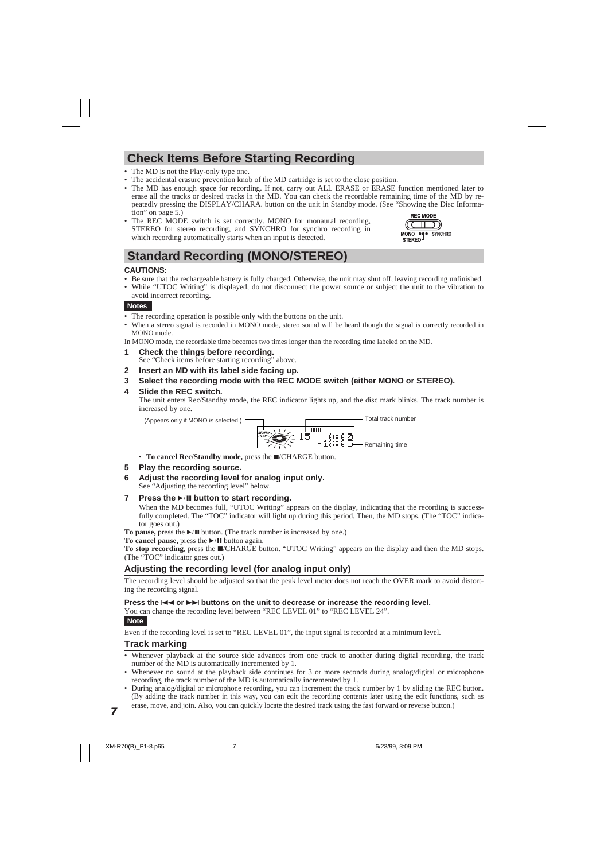# **Check Items Before Starting Recording**

- The MD is not the Play-only type one.
- The accidental erasure prevention knob of the MD cartridge is set to the close position.
- The MD has enough space for recording. If not, carry out ALL ERASE or ERASE function mentioned later to erase all the tracks or desired tracks in the MD. You can check the recordable remaining time of the MD by repeatedly pressing the DISPLAY/CHARA. button on the unit in Standby mode. (See "Showing the Disc Information" on page 5.)
- The REC MODE switch is set correctly. MONO for monaural recording, STEREO for stereo recording, and SYNCHRO for synchro recording in which recording automatically starts when an input is detected.

# **Standard Recording (MONO/STEREO)**

### **CAUTIONS:**

- Be sure that the rechargeable battery is fully charged. Otherwise, the unit may shut off, leaving recording unfinished.
- While "UTOC Writing" is displayed, do not disconnect the power source or subject the unit to the vibration to avoid incorrect recording.

#### **Notes**

- The recording operation is possible only with the buttons on the unit.
- When a stereo signal is recorded in MONO mode, stereo sound will be heard though the signal is correctly recorded in MONO mode.

In MONO mode, the recordable time becomes two times longer than the recording time labeled on the MD.

- **1 Check the things before recording.** See "Check items before starting recording" above.
- **2 Insert an MD with its label side facing up.**
- **3 Select the recording mode with the REC MODE switch (either MONO or STEREO).**

### **4 Slide the REC switch.**

The unit enters Rec/Standby mode, the REC indicator lights up, and the disc mark blinks. The track number is increased by one.

(Appears only if MONO is selected.) Total track number



• To cancel Rec/Standby mode, press the  $\Box$ /CHARGE button.

### **5 Play the recording source.**

**6 Adjust the recording level for analog input only.** See "Adjusting the recording level" below.

#### **7** Press the ►/II button to start recording.

When the MD becomes full, "UTOC Writing" appears on the display, indicating that the recording is successfully completed. The "TOC" indicator will light up during this period. Then, the MD stops. (The "TOC" indicator goes out.)

**To pause,** press the  $\blacktriangleright$  **II** button. (The track number is increased by one.)

**To cancel pause,** press the ►/II button again.

**To stop recording,** press the ■/CHARGE button. "UTOC Writing" appears on the display and then the MD stops. (The "TOC" indicator goes out.)

# **Adjusting the recording level (for analog input only)**

The recording level should be adjusted so that the peak level meter does not reach the OVER mark to avoid distorting the recording signal.

#### **Press the**  $\blacktriangleleft$  **or**  $\blacktriangleright$  **buttons on the unit to decrease or increase the recording level.**

You can change the recording level between "REC LEVEL 01" to "REC LEVEL 24".

### **Note**

Even if the recording level is set to "REC LEVEL 01", the input signal is recorded at a minimum level.

### **Track marking**

- Whenever playback at the source side advances from one track to another during digital recording, the track number of the MD is automatically incremented by 1.
- Whenever no sound at the playback side continues for 3 or more seconds during analog/digital or microphone recording, the track number of the MD is automatically incremented by 1.
- During analog/digital or microphone recording, you can increment the track number by 1 by sliding the REC button. (By adding the track number in this way, you can edit the recording contents later using the edit functions, such as erase, move, and join. Also, you can quickly locate the desired track using the fast forward or reverse button.)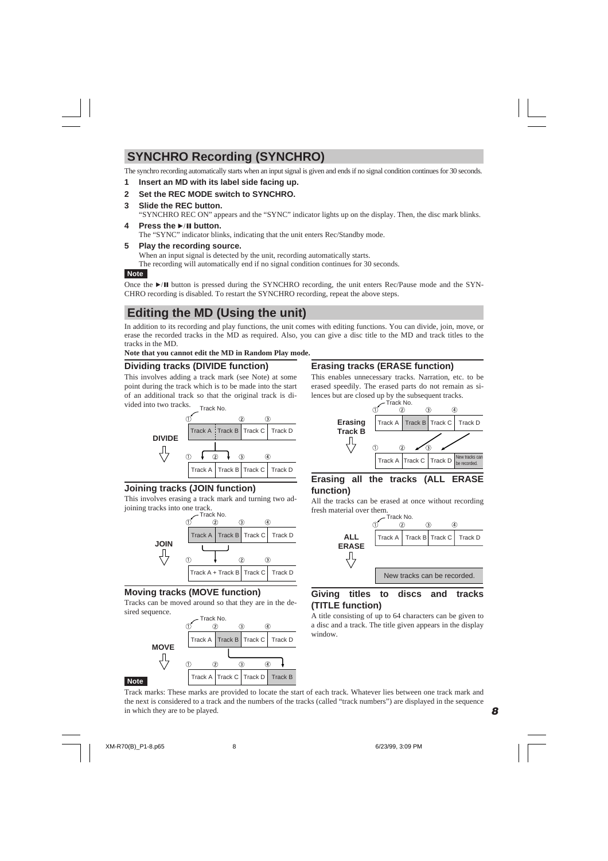# **SYNCHRO Recording (SYNCHRO)**

The synchro recording automatically starts when an input signal is given and ends if no signal condition continues for 30 seconds.

**1 Insert an MD with its label side facing up.**

### **2 Set the REC MODE switch to SYNCHRO.**

### **3 Slide the REC button.**

"SYNCHRO REC ON" appears and the "SYNC" indicator lights up on the display. Then, the disc mark blinks.

**4** Press the ►/II button. The "SYNC" indicator blinks, indicating that the unit enters Rec/Standby mode.

### **5 Play the recording source.**

When an input signal is detected by the unit, recording automatically starts. The recording will automatically end if no signal condition continues for 30 seconds.

### **Note**

Once the  $\blacktriangleright$  II button is pressed during the SYNCHRO recording, the unit enters Rec/Pause mode and the SYN-CHRO recording is disabled. To restart the SYNCHRO recording, repeat the above steps.

# **Editing the MD (Using the unit)**

In addition to its recording and play functions, the unit comes with editing functions. You can divide, join, move, or erase the recorded tracks in the MD as required. Also, you can give a disc title to the MD and track titles to the tracks in the MD.

**Note that you cannot edit the MD in Random Play mode.**

# **Dividing tracks (DIVIDE function)**

This involves adding a track mark (see Note) at some point during the track which is to be made into the start of an additional track so that the original track is divided into two tracks.



# **Joining tracks (JOIN function)**

This involves erasing a track mark and turning two adjoining tracks into one track.



# **Moving tracks (MOVE function)**

Tracks can be moved around so that they are in the desired sequence.



# **Erasing tracks (ERASE function)**

This enables unnecessary tracks. Narration, etc. to be erased speedily. The erased parts do not remain as silences but are closed up by the subsequent tracks.



# **Erasing all the tracks (ALL ERASE function)**

All the tracks can be erased at once without recording fresh material over them.



### **Giving titles to discs and tracks (TITLE function)**

A title consisting of up to 64 characters can be given to a disc and a track. The title given appears in the display window.

Track marks: These marks are provided to locate the start of each track. Whatever lies between one track mark and the next is considered to a track and the numbers of the tracks (called "track numbers") are displayed in the sequence in which they are to be played.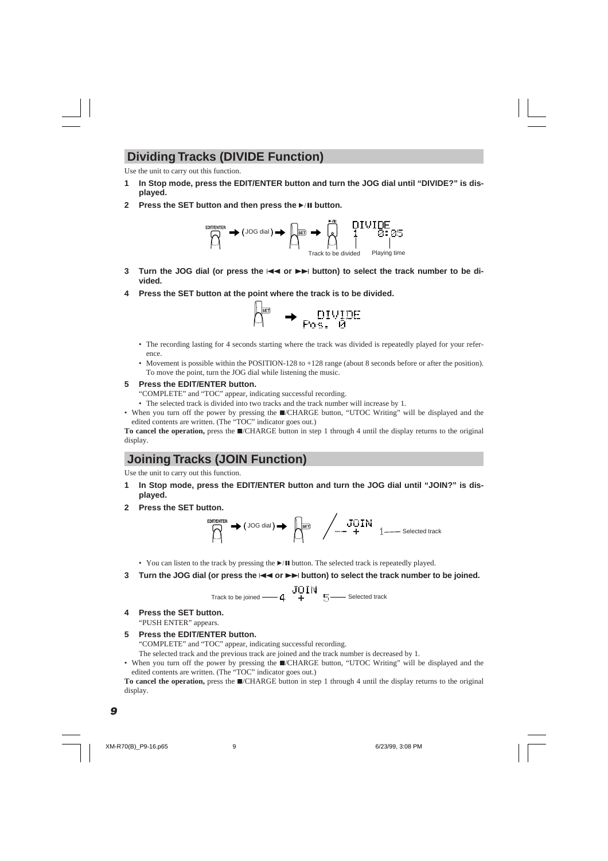# **Dividing Tracks (DIVIDE Function)**

Use the unit to carry out this function.

- In Stop mode, press the EDIT/ENTER button and turn the JOG dial until "DIVIDE?" is dis**played.**
- **2** Press the SET button and then press the ►/II button.



- **3** Turn the JOG dial (or press the  $\blacktriangleleft \blacktriangleleft$  or  $\blacktriangleright \blacktriangleright$  button) to select the track number to be di**vided.**
- **4 Press the SET button at the point where the track is to be divided.**



- The recording lasting for 4 seconds starting where the track was divided is repeatedly played for your reference.
- Movement is possible within the POSITION-128 to +128 range (about 8 seconds before or after the position). To move the point, turn the JOG dial while listening the music.

# **5 Press the EDIT/ENTER button.**

"COMPLETE" and "TOC" appear, indicating successful recording.

- The selected track is divided into two tracks and the track number will increase by 1.
- When you turn off the power by pressing the  $\blacksquare$ /CHARGE button, "UTOC Writing" will be displayed and the edited contents are written. (The "TOC" indicator goes out.)

**To cancel the operation,** press the ■∕CHARGE button in step 1 through 4 until the display returns to the original display.

# **Joining Tracks (JOIN Function)**

Use the unit to carry out this function.

- **1 In Stop mode, press the EDIT/ENTER button and turn the JOG dial until "JOIN?" is displayed.**
- **2 Press the SET button.**



- You can listen to the track by pressing the  $\blacktriangleright$  II button. The selected track is repeatedly played.
- **3** Turn the JOG dial (or press the  $\blacktriangleright$   $\blacktriangleright$   $\blacktriangleright$  button) to select the track number to be joined.

 $J\Box N$ <br>Track to be joined  $-4 + 5$  Selected track

**4 Press the SET button.**

"PUSH ENTER" appears.

# **5 Press the EDIT/ENTER button.**

"COMPLETE" and "TOC" appear, indicating successful recording.

The selected track and the previous track are joined and the track number is decreased by 1.

• When you turn off the power by pressing the  $\blacksquare$ /CHARGE button, "UTOC Writing" will be displayed and the edited contents are written. (The "TOC" indicator goes out.)

**To cancel the operation,** press the  $\blacksquare$ /CHARGE button in step 1 through 4 until the display returns to the original display.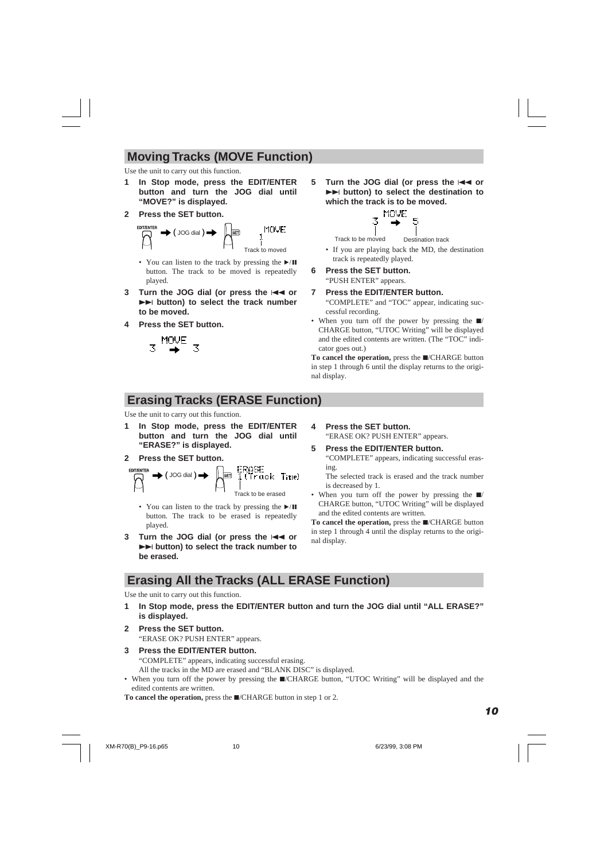# **Moving Tracks (MOVE Function)**

Use the unit to carry out this function.

- **1 In Stop mode, press the EDIT/ENTER button and turn the JOG dial until "MOVE?" is displayed.**
- **2 Press the SET button.**



- You can listen to the track by pressing the  $\blacktriangleright$ /II button. The track to be moved is repeatedly played.
- **3** Turn the JOG dial (or press the  $\blacktriangleleft$  or **►►** button) to select the track number **to be moved.**
- **4 Press the SET button.**



**5** Turn the JOG dial (or press the  $\leftarrow$  or **►►** button) to select the destination to **which the track is to be moved.**



Track to be moved Destination track

- If you are playing back the MD, the destination track is repeatedly played.
- **6 Press the SET button.** "PUSH ENTER" appears.

**7 Press the EDIT/ENTER button.**

"COMPLETE" and "TOC" appear, indicating successful recording.

• When you turn off the power by pressing the  $\blacksquare$ / CHARGE button, "UTOC Writing" will be displayed and the edited contents are written. (The "TOC" indicator goes out.)

To cancel the operation, press the  $\blacksquare$ /CHARGE button in step 1 through 6 until the display returns to the original display.

# **Erasing Tracks (ERASE Function)**

Use the unit to carry out this function.

- In Stop mode, press the EDIT/ENTER **button and turn the JOG dial until "ERASE?" is displayed.**
- **2 Press the SET button.**



- You can listen to the track by pressing the  $\blacktriangleright$ /II button. The track to be erased is repeatedly played.
- **3** Turn the JOG dial (or press the  $\blacktriangleleft$  or ¢ **button) to select the track number to be erased.**

**4 Press the SET button.**

"ERASE OK? PUSH ENTER" appears.

**5 Press the EDIT/ENTER button.** "COMPLETE" appears, indicating successful erasing.

The selected track is erased and the track number is decreased by 1.

• When you turn off the power by pressing the  $\blacksquare$ / CHARGE button, "UTOC Writing" will be displayed and the edited contents are written.

To cancel the operation, press the  $\Box$ /CHARGE button in step 1 through 4 until the display returns to the original display.

# **Erasing All the Tracks (ALL ERASE Function)**

Use the unit to carry out this function.

- **1 In Stop mode, press the EDIT/ENTER button and turn the JOG dial until "ALL ERASE?" is displayed.**
- **2 Press the SET button.** "ERASE OK? PUSH ENTER" appears.

# **3 Press the EDIT/ENTER button.**

"COMPLETE" appears, indicating successful erasing.

All the tracks in the MD are erased and "BLANK DISC" is displayed.

• When you turn off the power by pressing the  $\blacksquare$ /CHARGE button, "UTOC Writing" will be displayed and the edited contents are written.

**To cancel the operation,** press the ■/CHARGE button in step 1 or 2.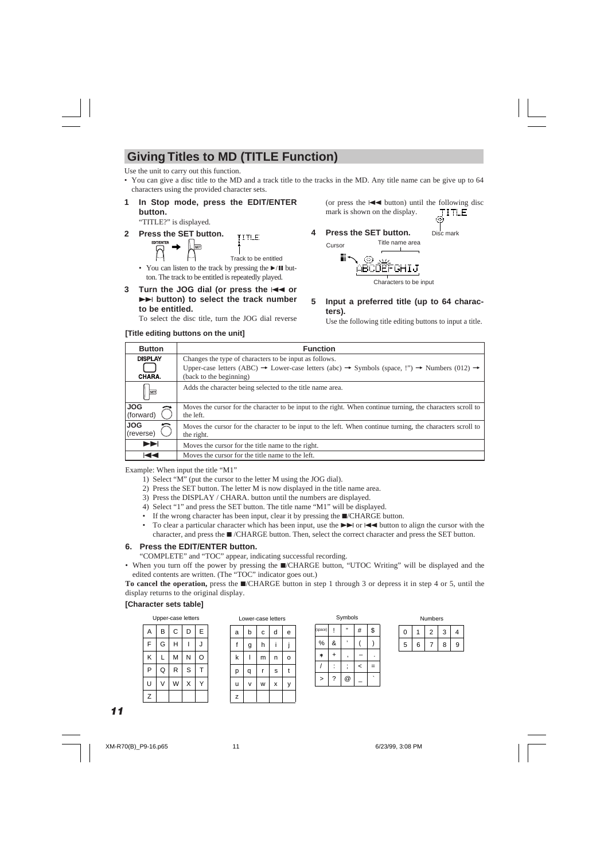# **Giving Titles to MD (TITLE Function)**

Use the unit to carry out this function.

- You can give a disc title to the MD and a track title to the tracks in the MD. Any title name can be give up to 64 characters using the provided character sets.
- **1 In Stop mode, press the EDIT/ENTER button.**

"TITLE?" is displayed.

**2 Press the SET button.**

**TITLE** Track to be entitled

- You can listen to the track by pressing the  $\blacktriangleright$ /II button. The track to be entitled is repeatedly played.
- **3** Turn the JOG dial (or press the  $\blacktriangleleft$  or **►►** button) to select the track number **to be entitled.**

To select the disc title, turn the JOG dial reverse

### **[Title editing buttons on the unit]**

(or press the  $\blacktriangleleft$  button) until the following disc mark is shown on the display. **TITLE** 

Disc mark

**4 Press the SET button.**



Characters to be input

**5 Input a preferred title (up to 64 characters).**

Use the following title editing buttons to input a title.

| <b>Button</b>            | <b>Function</b>                                                                                                                                                                                                                  |  |  |
|--------------------------|----------------------------------------------------------------------------------------------------------------------------------------------------------------------------------------------------------------------------------|--|--|
| <b>DISPLAY</b><br>CHARA. | Changes the type of characters to be input as follows.<br>Upper-case letters (ABC) $\rightarrow$ Lower-case letters (abc) $\rightarrow$ Symbols (space, !") $\rightarrow$ Numbers (012) $\rightarrow$<br>(back to the beginning) |  |  |
| <b>SET</b>               | Adds the character being selected to the title name area.                                                                                                                                                                        |  |  |
| <b>JOG</b><br>(forward)  | Moves the cursor for the character to be input to the right. When continue turning, the characters scroll to<br>the left.                                                                                                        |  |  |
| <b>JOG</b><br>(reverse)  | Moves the cursor for the character to be input to the left. When continue turning, the characters scroll to<br>the right.                                                                                                        |  |  |
| EE                       | Moves the cursor for the title name to the right.                                                                                                                                                                                |  |  |
| ю                        | Moves the cursor for the title name to the left.                                                                                                                                                                                 |  |  |

Example: When input the title "M1"

- 1) Select "M" (put the cursor to the letter M using the JOG dial).
- 2) Press the SET button. The letter M is now displayed in the title name area.
- 3) Press the DISPLAY / CHARA. button until the numbers are displayed.
- 4) Select "1" and press the SET button. The title name "M1" will be displayed.
- If the wrong character has been input, clear it by pressing the  $\Box$  CHARGE button.
- To clear a particular character which has been input, use the  $\blacktriangleright$  or  $\blacktriangleright$  or  $\blacktriangleright$  button to align the cursor with the character, and press the  $\blacksquare$  /CHARGE button. Then, select the correct character and press the SET button.

### **6. Press the EDIT/ENTER button.**

"COMPLETE" and "TOC" appear, indicating successful recording.

• When you turn off the power by pressing the **I**/CHARGE button, "UTOC Writing" will be displayed and the edited contents are written. (The "TOC" indicator goes out.)

**To cancel the operation,** press the  $\blacksquare$ /CHARGE button in step 1 through 3 or depress it in step 4 or 5, until the display returns to the original display.

#### **[Character sets table]**

Upper-case letters Lower-case letters

| A | B | С | D | E |
|---|---|---|---|---|
| F | G | Η |   | J |
| K | L | M | N | O |
| P | Q | R | S | т |
| U | V | W | Χ |   |
| Z |   |   |   |   |

| a | b | С | d | e |
|---|---|---|---|---|
| f | g | h |   |   |
| k |   | m | n | o |
| р | q | r | s | t |
| ū | v | W | X | ٧ |
| Z |   |   |   |   |

| (space) |   | ,, | $\#$ | \$ |
|---------|---|----|------|----|
| %       | & |    |      |    |
| $\ast$  |   |    |      |    |
|         |   |    | <    | Ξ  |
| >       | ? | @  |      |    |

Symbols

| Numbers |  |  |  |  |
|---------|--|--|--|--|
|         |  |  |  |  |
|         |  |  |  |  |

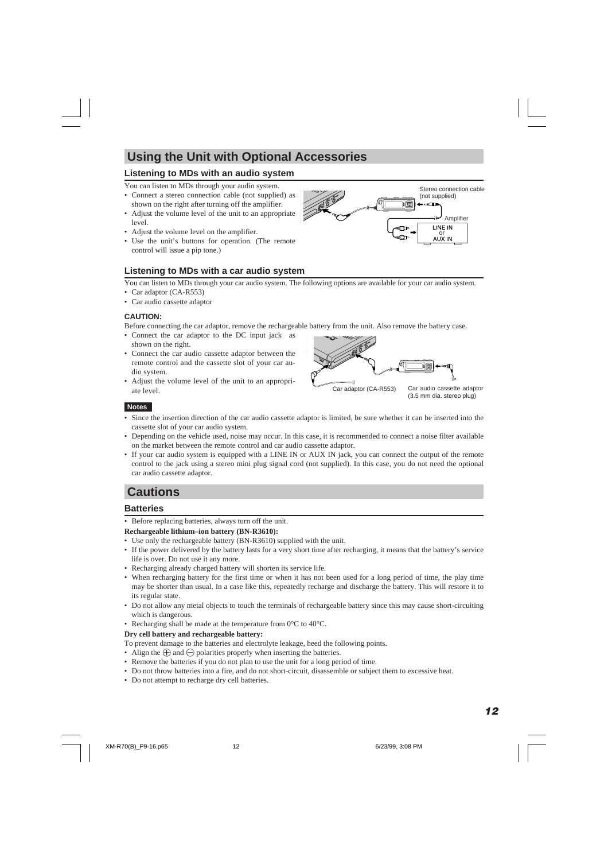# **Using the Unit with Optional Accessories**

# **Listening to MDs with an audio system**

You can listen to MDs through your audio system.

- Connect a stereo connection cable (not supplied) as shown on the right after turning off the amplifier.
- Adjust the volume level of the unit to an appropriate level.
- Adjust the volume level on the amplifier.
- Use the unit's buttons for operation. (The remote control will issue a pip tone.)

# **Listening to MDs with a car audio system**

You can listen to MDs through your car audio system. The following options are available for your car audio system.

- Car adaptor (CA-R553)
- Car audio cassette adaptor

#### **CAUTION:**

Before connecting the car adaptor, remove the rechargeable battery from the unit. Also remove the battery case.

- Connect the car adaptor to the DC input jack as shown on the right.
- Connect the car audio cassette adaptor between the remote control and the cassette slot of your car audio system.
- Adjust the volume level of the unit to an appropriate level.



(3.5 mm dia. stereo plug)

### **Notes**

- Since the insertion direction of the car audio cassette adaptor is limited, be sure whether it can be inserted into the cassette slot of your car audio system.
- Depending on the vehicle used, noise may occur. In this case, it is recommended to connect a noise filter available on the market between the remote control and car audio cassette adaptor.
- If your car audio system is equipped with a LINE IN or AUX IN jack, you can connect the output of the remote control to the jack using a stereo mini plug signal cord (not supplied). In this case, you do not need the optional car audio cassette adaptor.

# **Cautions**

# **Batteries**

• Before replacing batteries, always turn off the unit.

#### **Rechargeable lithium–ion battery (BN-R3610):**

- Use only the rechargeable battery (BN-R3610) supplied with the unit.
- If the power delivered by the battery lasts for a very short time after recharging, it means that the battery's service life is over. Do not use it any more.
- Recharging already charged battery will shorten its service life.
- When recharging battery for the first time or when it has not been used for a long period of time, the play time may be shorter than usual. In a case like this, repeatedly recharge and discharge the battery. This will restore it to its regular state.
- Do not allow any metal objects to touch the terminals of rechargeable battery since this may cause short-circuiting which is dangerous.
- Recharging shall be made at the temperature from 0°C to 40°C.

#### **Dry cell battery and rechargeable battery:**

To prevent damage to the batteries and electrolyte leakage, heed the following points.

- Align the  $\bigoplus$  and  $\bigominus$  polarities properly when inserting the batteries.
- Remove the batteries if you do not plan to use the unit for a long period of time.
- Do not throw batteries into a fire, and do not short-circuit, disassemble or subject them to excessive heat.
- Do not attempt to recharge dry cell batteries.

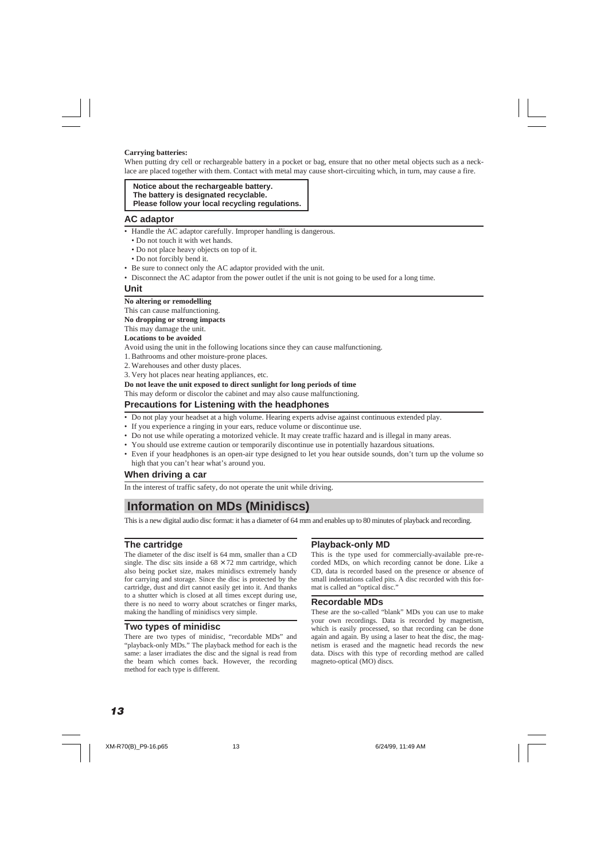#### **Carrying batteries:**

When putting dry cell or rechargeable battery in a pocket or bag, ensure that no other metal objects such as a necklace are placed together with them. Contact with metal may cause short-circuiting which, in turn, may cause a fire.

#### **Notice about the rechargeable battery. The battery is designated recyclable. Please follow your local recycling regulations.**

### **AC adaptor**

- Handle the AC adaptor carefully. Improper handling is dangerous.
	- Do not touch it with wet hands.
	- Do not place heavy objects on top of it.
	- Do not forcibly bend it.
- Be sure to connect only the AC adaptor provided with the unit.
- Disconnect the AC adaptor from the power outlet if the unit is not going to be used for a long time.

#### **Unit**

#### **No altering or remodelling**

#### This can cause malfunctioning.

#### **No dropping or strong impacts**

This may damage the unit.

#### **Locations to be avoided**

Avoid using the unit in the following locations since they can cause malfunctioning.

- 1. Bathrooms and other moisture-prone places.
- 2. Warehouses and other dusty places.
- 3. Very hot places near heating appliances, etc.

#### **Do not leave the unit exposed to direct sunlight for long periods of time**

This may deform or discolor the cabinet and may also cause malfunctioning.

### **Precautions for Listening with the headphones**

- Do not play your headset at a high volume. Hearing experts advise against continuous extended play.
- If you experience a ringing in your ears, reduce volume or discontinue use.
- Do not use while operating a motorized vehicle. It may create traffic hazard and is illegal in many areas.
- You should use extreme caution or temporarily discontinue use in potentially hazardous situations.
- Even if your headphones is an open-air type designed to let you hear outside sounds, don't turn up the volume so high that you can't hear what's around you.

### **When driving a car**

In the interest of traffic safety, do not operate the unit while driving.

# **Information on MDs (Minidiscs)**

This is a new digital audio disc format: it has a diameter of 64 mm and enables up to 80 minutes of playback and recording.

### **The cartridge**

The diameter of the disc itself is 64 mm, smaller than a CD single. The disc sits inside a  $68 \times 72$  mm cartridge, which also being pocket size, makes minidiscs extremely handy for carrying and storage. Since the disc is protected by the cartridge, dust and dirt cannot easily get into it. And thanks to a shutter which is closed at all times except during use, there is no need to worry about scratches or finger marks, making the handling of minidiscs very simple.

### **Two types of minidisc**

There are two types of minidisc, "recordable MDs" and "playback-only MDs." The playback method for each is the same: a laser irradiates the disc and the signal is read from the beam which comes back. However, the recording method for each type is different.

# **Playback-only MD**

This is the type used for commercially-available pre-recorded MDs, on which recording cannot be done. Like a CD, data is recorded based on the presence or absence of small indentations called pits. A disc recorded with this format is called an "optical disc."

#### **Recordable MDs**

These are the so-called "blank" MDs you can use to make your own recordings. Data is recorded by magnetism, which is easily processed, so that recording can be done again and again. By using a laser to heat the disc, the magnetism is erased and the magnetic head records the new data. Discs with this type of recording method are called magneto-optical (MO) discs.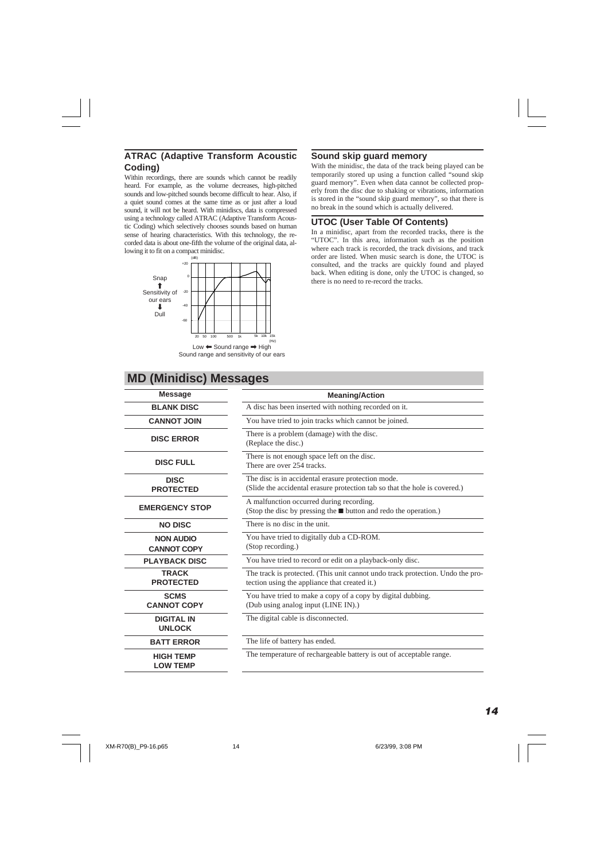# **ATRAC (Adaptive Transform Acoustic Coding)**

Within recordings, there are sounds which cannot be readily heard. For example, as the volume decreases, high-pitched sounds and low-pitched sounds become difficult to hear. Also, if a quiet sound comes at the same time as or just after a loud sound, it will not be heard. With minidiscs, data is compressed using a technology called ATRAC (Adaptive Transform Acoustic Coding) which selectively chooses sounds based on human sense of hearing characteristics. With this technology, the recorded data is about one-fifth the volume of the original data, allowing it to fit on a compact minidisc.



Sound range and sensitivity of our ears

# **MD (Minidisc) Messages**

### **Sound skip guard memory**

With the minidisc, the data of the track being played can be temporarily stored up using a function called "sound skip guard memory". Even when data cannot be collected properly from the disc due to shaking or vibrations, information is stored in the "sound skip guard memory", so that there is no break in the sound which is actually delivered.

# **UTOC (User Table Of Contents)**

In a minidisc, apart from the recorded tracks, there is the "UTOC". In this area, information such as the position where each track is recorded, the track divisions, and track order are listed. When music search is done, the UTOC is consulted, and the tracks are quickly found and played back. When editing is done, only the UTOC is changed, so

| <b>Message</b>                         | <b>Meaning/Action</b>                                                                                                            |  |  |
|----------------------------------------|----------------------------------------------------------------------------------------------------------------------------------|--|--|
| <b>BLANK DISC</b>                      | A disc has been inserted with nothing recorded on it.                                                                            |  |  |
| <b>CANNOT JOIN</b>                     | You have tried to join tracks which cannot be joined.                                                                            |  |  |
| <b>DISC ERROR</b>                      | There is a problem (damage) with the disc.<br>(Replace the disc.)                                                                |  |  |
| <b>DISC FULL</b>                       | There is not enough space left on the disc.<br>There are over 254 tracks                                                         |  |  |
| <b>DISC</b><br><b>PROTECTED</b>        | The disc is in accidental erasure protection mode.<br>(Slide the accidental erasure protection tab so that the hole is covered.) |  |  |
| <b>EMERGENCY STOP</b>                  | A malfunction occurred during recording.<br>(Stop the disc by pressing the ■ button and redo the operation.)                     |  |  |
| <b>NO DISC</b>                         | There is no disc in the unit                                                                                                     |  |  |
| <b>NON AUDIO</b><br><b>CANNOT COPY</b> | You have tried to digitally dub a CD-ROM.<br>(Stop recording.)                                                                   |  |  |
| <b>PLAYBACK DISC</b>                   | You have tried to record or edit on a playback-only disc.                                                                        |  |  |
| <b>TRACK</b><br><b>PROTECTED</b>       | The track is protected. (This unit cannot undo track protection. Undo the pro-<br>tection using the appliance that created it.)  |  |  |
| <b>SCMS</b><br><b>CANNOT COPY</b>      | You have tried to make a copy of a copy by digital dubbing.<br>(Dub using analog input (LINE IN).)                               |  |  |
| <b>DIGITAL IN</b><br><b>UNLOCK</b>     | The digital cable is disconnected.                                                                                               |  |  |
| <b>BATT ERROR</b>                      | The life of battery has ended.                                                                                                   |  |  |
| <b>HIGH TEMP</b><br><b>LOW TEMP</b>    | The temperature of rechargeable battery is out of acceptable range.                                                              |  |  |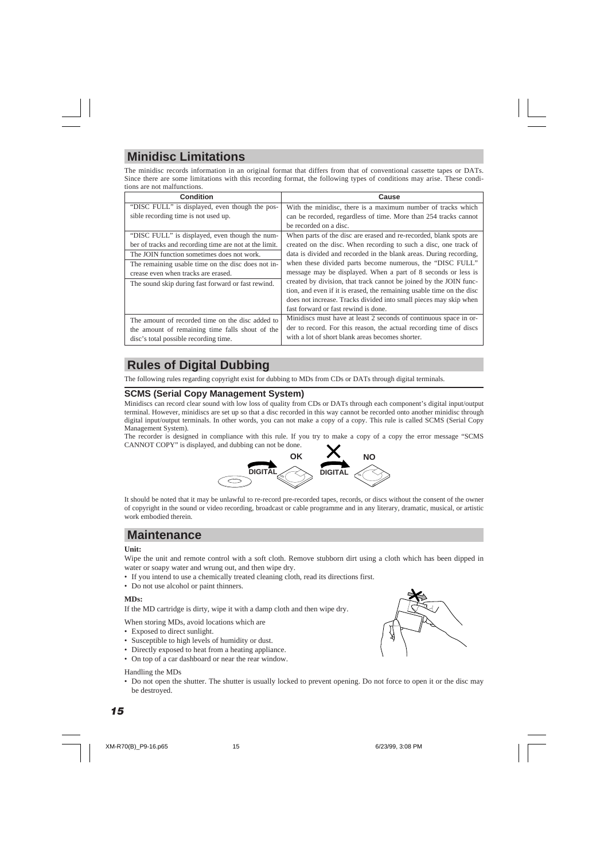# **Minidisc Limitations**

The minidisc records information in an original format that differs from that of conventional cassette tapes or DATs. Since there are some limitations with this recording format, the following types of conditions may arise. These conditions are not malfunctions.

| Condition                                              | Cause                                                                 |  |
|--------------------------------------------------------|-----------------------------------------------------------------------|--|
| "DISC FULL" is displayed, even though the pos-         | With the minidisc, there is a maximum number of tracks which          |  |
| sible recording time is not used up.                   | can be recorded, regardless of time. More than 254 tracks cannot      |  |
|                                                        | be recorded on a disc.                                                |  |
| "DISC FULL" is displayed, even though the num-         | When parts of the disc are erased and re-recorded, blank spots are    |  |
| ber of tracks and recording time are not at the limit. | created on the disc. When recording to such a disc, one track of      |  |
| The JOIN function sometimes does not work.             | data is divided and recorded in the blank areas. During recording,    |  |
| The remaining usable time on the disc does not in-     | when these divided parts become numerous, the "DISC FULL"             |  |
| crease even when tracks are erased.                    | message may be displayed. When a part of 8 seconds or less is         |  |
| The sound skip during fast forward or fast rewind.     | created by division, that track cannot be joined by the JOIN func-    |  |
|                                                        | tion, and even if it is erased, the remaining usable time on the disc |  |
|                                                        | does not increase. Tracks divided into small pieces may skip when     |  |
|                                                        | fast forward or fast rewind is done.                                  |  |
| The amount of recorded time on the disc added to       | Minidiscs must have at least 2 seconds of continuous space in or-     |  |
| the amount of remaining time falls shout of the        | der to record. For this reason, the actual recording time of discs    |  |
| disc's total possible recording time.                  | with a lot of short blank areas becomes shorter.                      |  |

# **Rules of Digital Dubbing**

The following rules regarding copyright exist for dubbing to MDs from CDs or DATs through digital terminals.

# **SCMS (Serial Copy Management System)**

Minidiscs can record clear sound with low loss of quality from CDs or DATs through each component's digital input/output terminal. However, minidiscs are set up so that a disc recorded in this way cannot be recorded onto another minidisc through digital input/output terminals. In other words, you can not make a copy of a copy. This rule is called SCMS (Serial Copy Management System).

The recorder is designed in compliance with this rule. If you try to make a copy of a copy the error message "SCMS CANNOT COPY" is displayed, and dubbing can not be done.



It should be noted that it may be unlawful to re-record pre-recorded tapes, records, or discs without the consent of the owner of copyright in the sound or video recording, broadcast or cable programme and in any literary, dramatic, musical, or artistic work embodied therein.

# **Maintenance**

#### **Unit:**

Wipe the unit and remote control with a soft cloth. Remove stubborn dirt using a cloth which has been dipped in water or soapy water and wrung out, and then wipe dry.

- If you intend to use a chemically treated cleaning cloth, read its directions first.
- Do not use alcohol or paint thinners.

#### **MDs:**

If the MD cartridge is dirty, wipe it with a damp cloth and then wipe dry.

When storing MDs, avoid locations which are

- Exposed to direct sunlight.
- Susceptible to high levels of humidity or dust.
- Directly exposed to heat from a heating appliance.
- On top of a car dashboard or near the rear window.

#### Handling the MDs

• Do not open the shutter. The shutter is usually locked to prevent opening. Do not force to open it or the disc may be destroyed.

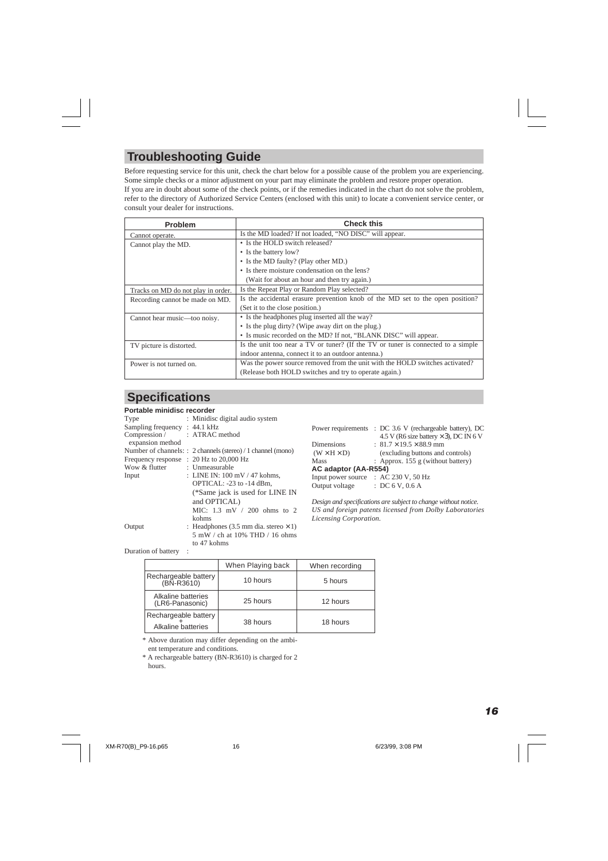# **Troubleshooting Guide**

Before requesting service for this unit, check the chart below for a possible cause of the problem you are experiencing. Some simple checks or a minor adjustment on your part may eliminate the problem and restore proper operation. If you are in doubt about some of the check points, or if the remedies indicated in the chart do not solve the problem, refer to the directory of Authorized Service Centers (enclosed with this unit) to locate a convenient service center, or consult your dealer for instructions.

| Problem                            | <b>Check this</b>                                                                |  |
|------------------------------------|----------------------------------------------------------------------------------|--|
| Cannot operate.                    | Is the MD loaded? If not loaded, "NO DISC" will appear.                          |  |
| Cannot play the MD.                | • Is the HOLD switch released?                                                   |  |
|                                    | • Is the battery low?                                                            |  |
|                                    | • Is the MD faulty? (Play other MD.)                                             |  |
|                                    | • Is there moisture condensation on the lens?                                    |  |
|                                    | (Wait for about an hour and then try again.)                                     |  |
| Tracks on MD do not play in order. | Is the Repeat Play or Random Play selected?                                      |  |
| Recording cannot be made on MD.    | Is the accidental erasure prevention knob of the MD set to the open position?    |  |
|                                    | (Set it to the close position.)                                                  |  |
| Cannot hear music—too noisy.       | • Is the headphones plug inserted all the way?                                   |  |
|                                    | • Is the plug dirty? (Wipe away dirt on the plug.)                               |  |
|                                    | • Is music recorded on the MD? If not, "BLANK DISC" will appear.                 |  |
| TV picture is distorted.           | Is the unit too near a TV or tuner? (If the TV or tuner is connected to a simple |  |
|                                    | indoor antenna, connect it to an outdoor antenna.)                               |  |
| Power is not turned on.            | Was the power source removed from the unit with the HOLD switches activated?     |  |
|                                    | (Release both HOLD switches and try to operate again.)                           |  |

# **Specifications**

### **Portable minidisc recorder**

| Type                                    | : Minidisc digital audio system                              |
|-----------------------------------------|--------------------------------------------------------------|
| Sampling frequency: 44.1 kHz            |                                                              |
| Compression /<br>expansion method       | : ATRAC method                                               |
|                                         | Number of channels: : 2 channels (stereo) / 1 channel (mono) |
| Frequency response : 20 Hz to 20,000 Hz |                                                              |
| Wow & flutter                           | : Unmeasurable                                               |
| Input                                   | : LINE IN: 100 mV / 47 kohms,                                |
|                                         | OPTICAL: -23 to -14 dBm.                                     |
|                                         | (*Same jack is used for LINE IN                              |
|                                         | and OPTICAL)                                                 |
|                                         | MIC: $1.3$ mV $/$ 200 ohms to 2                              |
|                                         | kohms                                                        |
| Output                                  | : Headphones (3.5 mm dia. stereo $\times$ 1)                 |
|                                         | 5 mW / ch at 10% THD / 16 ohms                               |
|                                         | to 47 kohms                                                  |

| 4.5 V (R6 size battery $\times$ 3), DC IN 6 V |
|-----------------------------------------------|
|                                               |
|                                               |
|                                               |
|                                               |
|                                               |
|                                               |
|                                               |

*Design and specifications are subject to change without notice. US and foreign patents licensed from Dolby Laboratories Licensing Corporation.*

Duration of battery :

|                                            | When Playing back | When recording |
|--------------------------------------------|-------------------|----------------|
| Rechargeable battery<br>(BN-R3610)         | 10 hours          | 5 hours        |
| Alkaline batteries<br>(LR6-Panasonic)      | 25 hours          | 12 hours       |
| Rechargeable battery<br>Alkaline batteries | 38 hours          | 18 hours       |

\* Above duration may differ depending on the ambient temperature and conditions.

\* A rechargeable battery (BN-R3610) is charged for 2 hours.